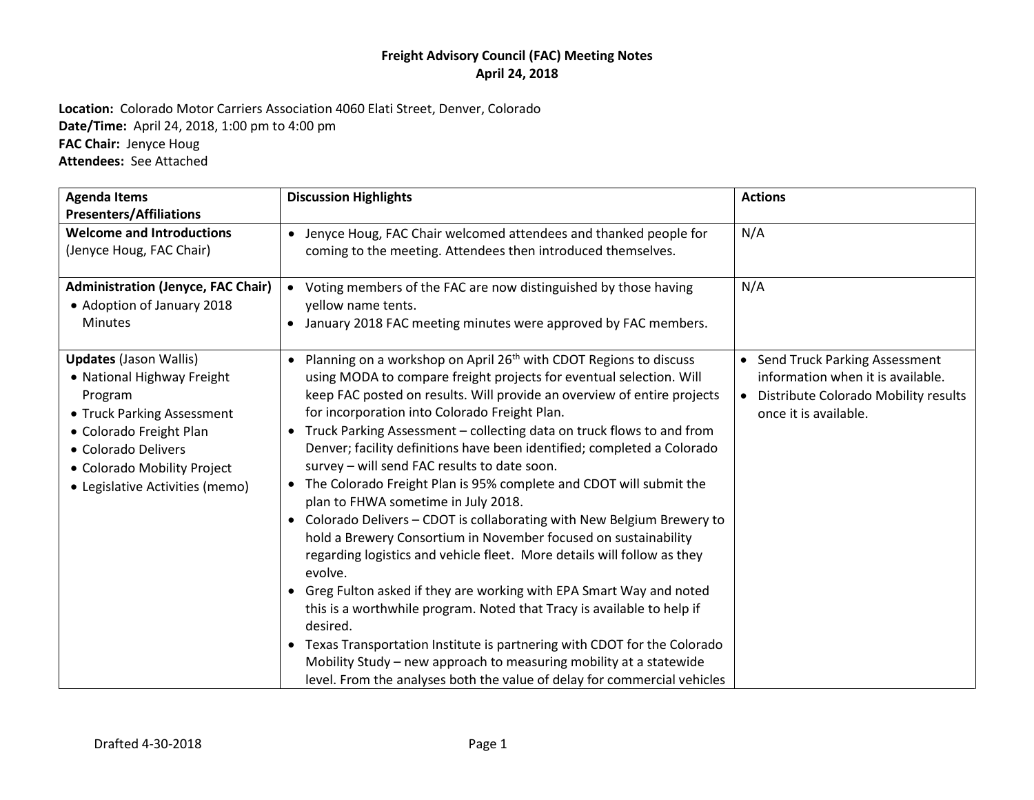**Location:** Colorado Motor Carriers Association 4060 Elati Street, Denver, Colorado **Date/Time:** April 24, 2018, 1:00 pm to 4:00 pm **FAC Chair:** Jenyce Houg **Attendees:** See Attached

| <b>Agenda Items</b><br><b>Presenters/Affiliations</b>                                                                                                                                                                    | <b>Discussion Highlights</b>                                                                                                                                                                                                                                                                                                                                                                                                                                                                                                                                                                                                                                                                                                                                                                                                                                                                                                                                                                                                                                                                                                                                                                                                                                              | <b>Actions</b>                                                                                                                          |
|--------------------------------------------------------------------------------------------------------------------------------------------------------------------------------------------------------------------------|---------------------------------------------------------------------------------------------------------------------------------------------------------------------------------------------------------------------------------------------------------------------------------------------------------------------------------------------------------------------------------------------------------------------------------------------------------------------------------------------------------------------------------------------------------------------------------------------------------------------------------------------------------------------------------------------------------------------------------------------------------------------------------------------------------------------------------------------------------------------------------------------------------------------------------------------------------------------------------------------------------------------------------------------------------------------------------------------------------------------------------------------------------------------------------------------------------------------------------------------------------------------------|-----------------------------------------------------------------------------------------------------------------------------------------|
| <b>Welcome and Introductions</b><br>(Jenyce Houg, FAC Chair)                                                                                                                                                             | • Jenyce Houg, FAC Chair welcomed attendees and thanked people for<br>coming to the meeting. Attendees then introduced themselves.                                                                                                                                                                                                                                                                                                                                                                                                                                                                                                                                                                                                                                                                                                                                                                                                                                                                                                                                                                                                                                                                                                                                        | N/A                                                                                                                                     |
| <b>Administration (Jenyce, FAC Chair)</b><br>• Adoption of January 2018<br><b>Minutes</b>                                                                                                                                | • Voting members of the FAC are now distinguished by those having<br>yellow name tents.<br>• January 2018 FAC meeting minutes were approved by FAC members.                                                                                                                                                                                                                                                                                                                                                                                                                                                                                                                                                                                                                                                                                                                                                                                                                                                                                                                                                                                                                                                                                                               | N/A                                                                                                                                     |
| <b>Updates (Jason Wallis)</b><br>• National Highway Freight<br>Program<br>• Truck Parking Assessment<br>• Colorado Freight Plan<br>• Colorado Delivers<br>• Colorado Mobility Project<br>• Legislative Activities (memo) | • Planning on a workshop on April 26 <sup>th</sup> with CDOT Regions to discuss<br>using MODA to compare freight projects for eventual selection. Will<br>keep FAC posted on results. Will provide an overview of entire projects<br>for incorporation into Colorado Freight Plan.<br>• Truck Parking Assessment - collecting data on truck flows to and from<br>Denver; facility definitions have been identified; completed a Colorado<br>survey - will send FAC results to date soon.<br>• The Colorado Freight Plan is 95% complete and CDOT will submit the<br>plan to FHWA sometime in July 2018.<br>Colorado Delivers - CDOT is collaborating with New Belgium Brewery to<br>$\bullet$<br>hold a Brewery Consortium in November focused on sustainability<br>regarding logistics and vehicle fleet. More details will follow as they<br>evolve.<br>Greg Fulton asked if they are working with EPA Smart Way and noted<br>$\bullet$<br>this is a worthwhile program. Noted that Tracy is available to help if<br>desired.<br>Texas Transportation Institute is partnering with CDOT for the Colorado<br>$\bullet$<br>Mobility Study - new approach to measuring mobility at a statewide<br>level. From the analyses both the value of delay for commercial vehicles | • Send Truck Parking Assessment<br>information when it is available.<br>• Distribute Colorado Mobility results<br>once it is available. |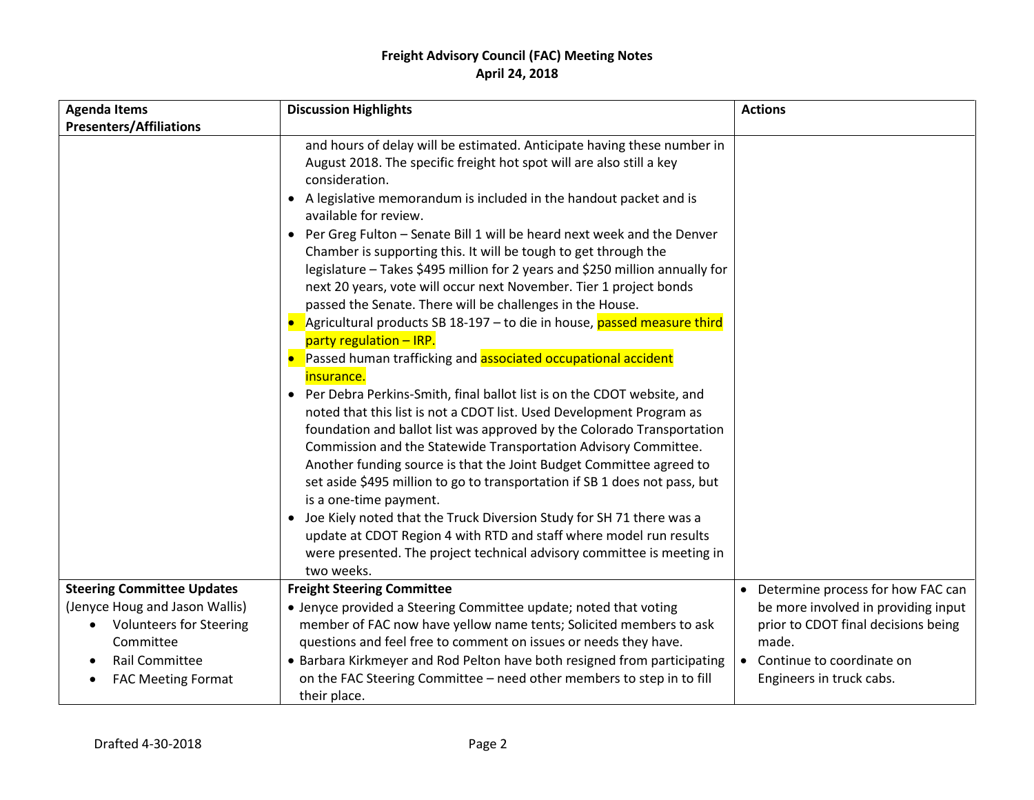| <b>Agenda Items</b>                                                                                    | <b>Discussion Highlights</b>                                                                                                                                                                                                                                                                                                                                                                                                                                                                                                                                                                                                                                                                                                                                                                                                                                                                                                                                                                                                                                                                                                                                                                                                                                                                                                                                                                                                                                                                                                                   | <b>Actions</b>                                                                                                     |
|--------------------------------------------------------------------------------------------------------|------------------------------------------------------------------------------------------------------------------------------------------------------------------------------------------------------------------------------------------------------------------------------------------------------------------------------------------------------------------------------------------------------------------------------------------------------------------------------------------------------------------------------------------------------------------------------------------------------------------------------------------------------------------------------------------------------------------------------------------------------------------------------------------------------------------------------------------------------------------------------------------------------------------------------------------------------------------------------------------------------------------------------------------------------------------------------------------------------------------------------------------------------------------------------------------------------------------------------------------------------------------------------------------------------------------------------------------------------------------------------------------------------------------------------------------------------------------------------------------------------------------------------------------------|--------------------------------------------------------------------------------------------------------------------|
| <b>Presenters/Affiliations</b>                                                                         |                                                                                                                                                                                                                                                                                                                                                                                                                                                                                                                                                                                                                                                                                                                                                                                                                                                                                                                                                                                                                                                                                                                                                                                                                                                                                                                                                                                                                                                                                                                                                |                                                                                                                    |
|                                                                                                        | and hours of delay will be estimated. Anticipate having these number in<br>August 2018. The specific freight hot spot will are also still a key<br>consideration.<br>• A legislative memorandum is included in the handout packet and is<br>available for review.<br>Per Greg Fulton - Senate Bill 1 will be heard next week and the Denver<br>Chamber is supporting this. It will be tough to get through the<br>legislature - Takes \$495 million for 2 years and \$250 million annually for<br>next 20 years, vote will occur next November. Tier 1 project bonds<br>passed the Senate. There will be challenges in the House.<br>Agricultural products SB 18-197 - to die in house, passed measure third<br>party regulation - IRP.<br>Passed human trafficking and associated occupational accident<br>insurance.<br>• Per Debra Perkins-Smith, final ballot list is on the CDOT website, and<br>noted that this list is not a CDOT list. Used Development Program as<br>foundation and ballot list was approved by the Colorado Transportation<br>Commission and the Statewide Transportation Advisory Committee.<br>Another funding source is that the Joint Budget Committee agreed to<br>set aside \$495 million to go to transportation if SB 1 does not pass, but<br>is a one-time payment.<br>• Joe Kiely noted that the Truck Diversion Study for SH 71 there was a<br>update at CDOT Region 4 with RTD and staff where model run results<br>were presented. The project technical advisory committee is meeting in<br>two weeks. |                                                                                                                    |
| <b>Steering Committee Updates</b>                                                                      | <b>Freight Steering Committee</b>                                                                                                                                                                                                                                                                                                                                                                                                                                                                                                                                                                                                                                                                                                                                                                                                                                                                                                                                                                                                                                                                                                                                                                                                                                                                                                                                                                                                                                                                                                              | • Determine process for how FAC can                                                                                |
| (Jenyce Houg and Jason Wallis)<br><b>Volunteers for Steering</b><br>Committee<br><b>Rail Committee</b> | • Jenyce provided a Steering Committee update; noted that voting<br>member of FAC now have yellow name tents; Solicited members to ask<br>questions and feel free to comment on issues or needs they have.<br>• Barbara Kirkmeyer and Rod Pelton have both resigned from participating                                                                                                                                                                                                                                                                                                                                                                                                                                                                                                                                                                                                                                                                                                                                                                                                                                                                                                                                                                                                                                                                                                                                                                                                                                                         | be more involved in providing input<br>prior to CDOT final decisions being<br>made.<br>• Continue to coordinate on |
| <b>FAC Meeting Format</b>                                                                              | on the FAC Steering Committee - need other members to step in to fill<br>their place.                                                                                                                                                                                                                                                                                                                                                                                                                                                                                                                                                                                                                                                                                                                                                                                                                                                                                                                                                                                                                                                                                                                                                                                                                                                                                                                                                                                                                                                          | Engineers in truck cabs.                                                                                           |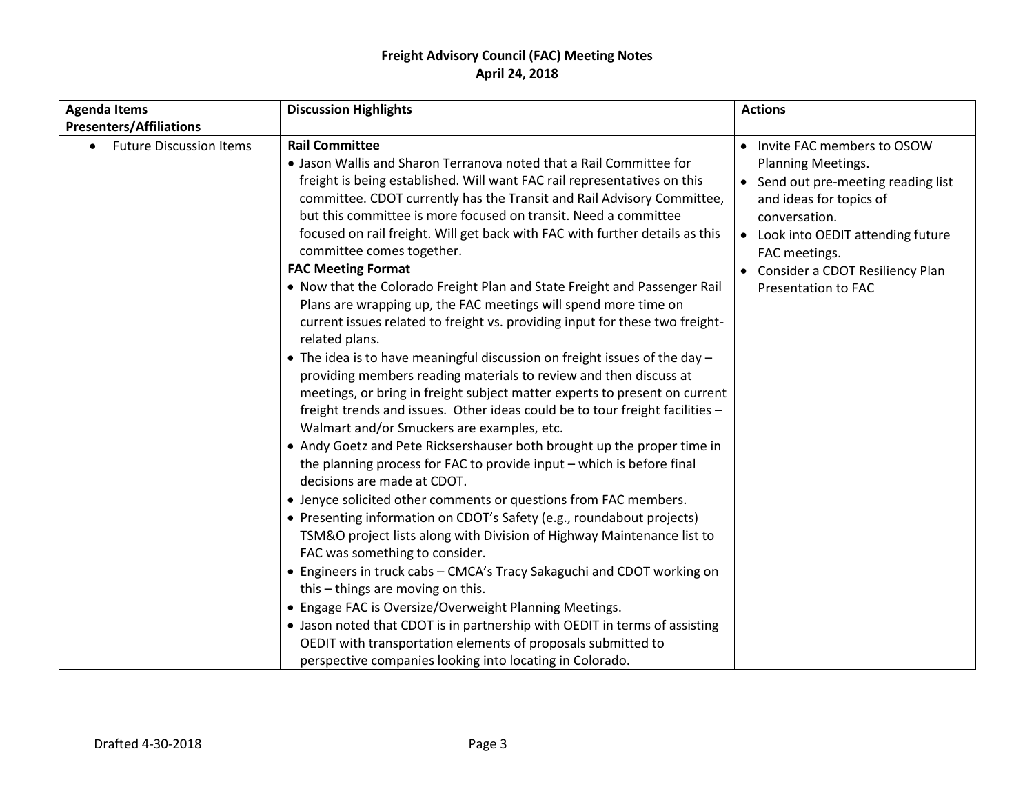| <b>Agenda Items</b>            | <b>Discussion Highlights</b>                                                                                                                                                                                                                                                                                                                                                                                                                                                                                                                                                                                                                                                                                                                                                                                                                                                                                                                                                                                                                                                                                                                                                                                                                                                                                                                                                                                                                                                                                                                                                                                                                                                                          | <b>Actions</b>                                                                                                                                                                                                                                              |
|--------------------------------|-------------------------------------------------------------------------------------------------------------------------------------------------------------------------------------------------------------------------------------------------------------------------------------------------------------------------------------------------------------------------------------------------------------------------------------------------------------------------------------------------------------------------------------------------------------------------------------------------------------------------------------------------------------------------------------------------------------------------------------------------------------------------------------------------------------------------------------------------------------------------------------------------------------------------------------------------------------------------------------------------------------------------------------------------------------------------------------------------------------------------------------------------------------------------------------------------------------------------------------------------------------------------------------------------------------------------------------------------------------------------------------------------------------------------------------------------------------------------------------------------------------------------------------------------------------------------------------------------------------------------------------------------------------------------------------------------------|-------------------------------------------------------------------------------------------------------------------------------------------------------------------------------------------------------------------------------------------------------------|
| <b>Presenters/Affiliations</b> |                                                                                                                                                                                                                                                                                                                                                                                                                                                                                                                                                                                                                                                                                                                                                                                                                                                                                                                                                                                                                                                                                                                                                                                                                                                                                                                                                                                                                                                                                                                                                                                                                                                                                                       |                                                                                                                                                                                                                                                             |
| <b>Future Discussion Items</b> | <b>Rail Committee</b><br>• Jason Wallis and Sharon Terranova noted that a Rail Committee for<br>freight is being established. Will want FAC rail representatives on this<br>committee. CDOT currently has the Transit and Rail Advisory Committee,<br>but this committee is more focused on transit. Need a committee<br>focused on rail freight. Will get back with FAC with further details as this<br>committee comes together.<br><b>FAC Meeting Format</b><br>. Now that the Colorado Freight Plan and State Freight and Passenger Rail<br>Plans are wrapping up, the FAC meetings will spend more time on<br>current issues related to freight vs. providing input for these two freight-<br>related plans.<br>• The idea is to have meaningful discussion on freight issues of the day -<br>providing members reading materials to review and then discuss at<br>meetings, or bring in freight subject matter experts to present on current<br>freight trends and issues. Other ideas could be to tour freight facilities -<br>Walmart and/or Smuckers are examples, etc.<br>• Andy Goetz and Pete Ricksershauser both brought up the proper time in<br>the planning process for FAC to provide input - which is before final<br>decisions are made at CDOT.<br>• Jenyce solicited other comments or questions from FAC members.<br>• Presenting information on CDOT's Safety (e.g., roundabout projects)<br>TSM&O project lists along with Division of Highway Maintenance list to<br>FAC was something to consider.<br>• Engineers in truck cabs - CMCA's Tracy Sakaguchi and CDOT working on<br>this - things are moving on this.<br>• Engage FAC is Oversize/Overweight Planning Meetings. | Invite FAC members to OSOW<br>Planning Meetings.<br>• Send out pre-meeting reading list<br>and ideas for topics of<br>conversation.<br>Look into OEDIT attending future<br>FAC meetings.<br>• Consider a CDOT Resiliency Plan<br><b>Presentation to FAC</b> |
|                                | • Jason noted that CDOT is in partnership with OEDIT in terms of assisting<br>OEDIT with transportation elements of proposals submitted to                                                                                                                                                                                                                                                                                                                                                                                                                                                                                                                                                                                                                                                                                                                                                                                                                                                                                                                                                                                                                                                                                                                                                                                                                                                                                                                                                                                                                                                                                                                                                            |                                                                                                                                                                                                                                                             |
|                                | perspective companies looking into locating in Colorado.                                                                                                                                                                                                                                                                                                                                                                                                                                                                                                                                                                                                                                                                                                                                                                                                                                                                                                                                                                                                                                                                                                                                                                                                                                                                                                                                                                                                                                                                                                                                                                                                                                              |                                                                                                                                                                                                                                                             |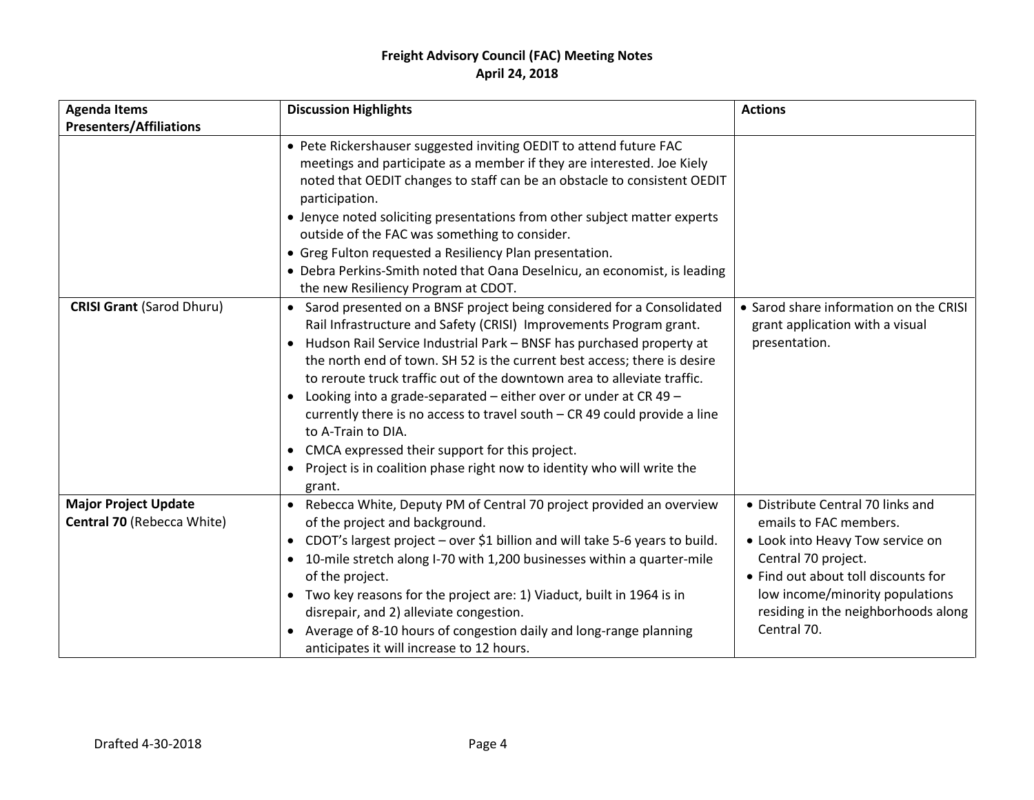| <b>Agenda Items</b>                                       | <b>Discussion Highlights</b>                                                                                                                                                                                                                                                                                                                                                                                                                                                                                                                                                                                                                                                                                            | <b>Actions</b>                                                                                                                                                                                                                                         |
|-----------------------------------------------------------|-------------------------------------------------------------------------------------------------------------------------------------------------------------------------------------------------------------------------------------------------------------------------------------------------------------------------------------------------------------------------------------------------------------------------------------------------------------------------------------------------------------------------------------------------------------------------------------------------------------------------------------------------------------------------------------------------------------------------|--------------------------------------------------------------------------------------------------------------------------------------------------------------------------------------------------------------------------------------------------------|
| <b>Presenters/Affiliations</b>                            |                                                                                                                                                                                                                                                                                                                                                                                                                                                                                                                                                                                                                                                                                                                         |                                                                                                                                                                                                                                                        |
|                                                           | • Pete Rickershauser suggested inviting OEDIT to attend future FAC<br>meetings and participate as a member if they are interested. Joe Kiely<br>noted that OEDIT changes to staff can be an obstacle to consistent OEDIT<br>participation.<br>• Jenyce noted soliciting presentations from other subject matter experts<br>outside of the FAC was something to consider.<br>• Greg Fulton requested a Resiliency Plan presentation.<br>• Debra Perkins-Smith noted that Oana Deselnicu, an economist, is leading<br>the new Resiliency Program at CDOT.                                                                                                                                                                 |                                                                                                                                                                                                                                                        |
| <b>CRISI Grant (Sarod Dhuru)</b>                          | • Sarod presented on a BNSF project being considered for a Consolidated<br>Rail Infrastructure and Safety (CRISI) Improvements Program grant.<br>• Hudson Rail Service Industrial Park - BNSF has purchased property at<br>the north end of town. SH 52 is the current best access; there is desire<br>to reroute truck traffic out of the downtown area to alleviate traffic.<br>• Looking into a grade-separated - either over or under at CR 49 -<br>currently there is no access to travel south – CR 49 could provide a line<br>to A-Train to DIA.<br>CMCA expressed their support for this project.<br>$\bullet$<br>Project is in coalition phase right now to identity who will write the<br>$\bullet$<br>grant. | • Sarod share information on the CRISI<br>grant application with a visual<br>presentation.                                                                                                                                                             |
| <b>Major Project Update</b><br>Central 70 (Rebecca White) | • Rebecca White, Deputy PM of Central 70 project provided an overview<br>of the project and background.<br>• CDOT's largest project – over \$1 billion and will take 5-6 years to build.<br>• 10-mile stretch along I-70 with 1,200 businesses within a quarter-mile<br>of the project.<br>• Two key reasons for the project are: 1) Viaduct, built in 1964 is in<br>disrepair, and 2) alleviate congestion.<br>Average of 8-10 hours of congestion daily and long-range planning<br>anticipates it will increase to 12 hours.                                                                                                                                                                                          | • Distribute Central 70 links and<br>emails to FAC members.<br>• Look into Heavy Tow service on<br>Central 70 project.<br>• Find out about toll discounts for<br>low income/minority populations<br>residing in the neighborhoods along<br>Central 70. |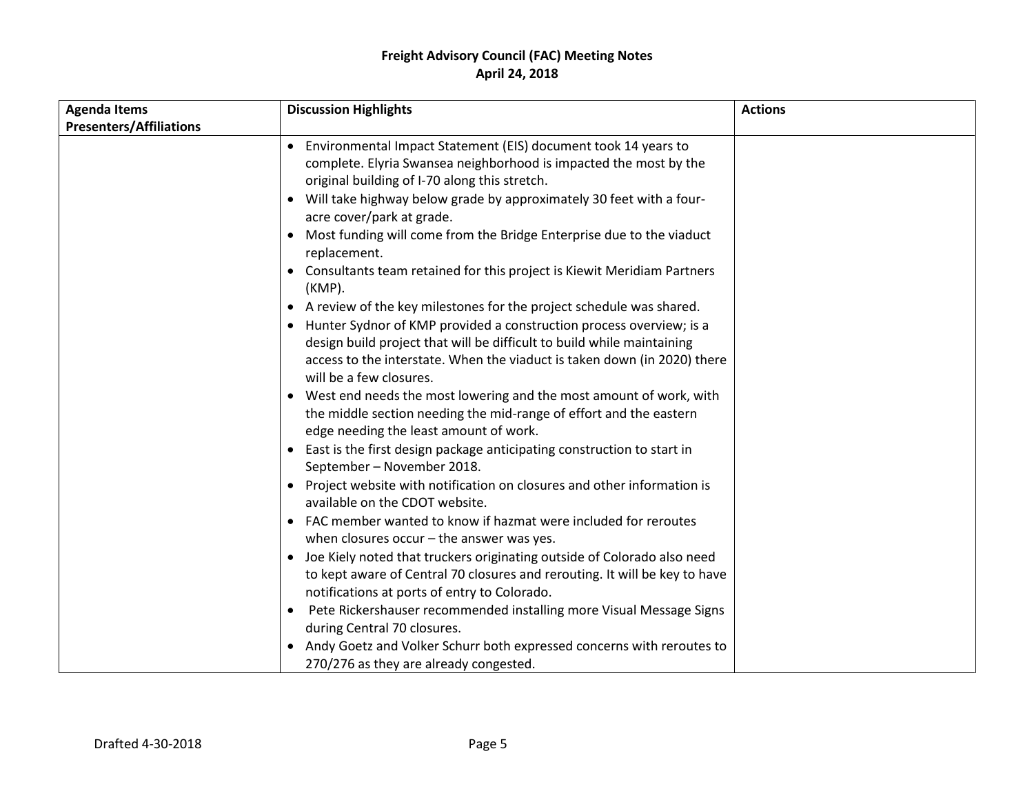| <b>Agenda Items</b>            | <b>Discussion Highlights</b>                                                                                                                                                                                                                                                                                                                                                                                                                                                                                                                                                                                                                                                                                                                                                                                                                                                                                                                                                                                                                                                                                                                                                                                                                                                                                                                                                                                                                                                                                                                                                                                                                                                                                                                                                                                               | <b>Actions</b> |
|--------------------------------|----------------------------------------------------------------------------------------------------------------------------------------------------------------------------------------------------------------------------------------------------------------------------------------------------------------------------------------------------------------------------------------------------------------------------------------------------------------------------------------------------------------------------------------------------------------------------------------------------------------------------------------------------------------------------------------------------------------------------------------------------------------------------------------------------------------------------------------------------------------------------------------------------------------------------------------------------------------------------------------------------------------------------------------------------------------------------------------------------------------------------------------------------------------------------------------------------------------------------------------------------------------------------------------------------------------------------------------------------------------------------------------------------------------------------------------------------------------------------------------------------------------------------------------------------------------------------------------------------------------------------------------------------------------------------------------------------------------------------------------------------------------------------------------------------------------------------|----------------|
| <b>Presenters/Affiliations</b> |                                                                                                                                                                                                                                                                                                                                                                                                                                                                                                                                                                                                                                                                                                                                                                                                                                                                                                                                                                                                                                                                                                                                                                                                                                                                                                                                                                                                                                                                                                                                                                                                                                                                                                                                                                                                                            |                |
|                                | Environmental Impact Statement (EIS) document took 14 years to<br>complete. Elyria Swansea neighborhood is impacted the most by the<br>original building of I-70 along this stretch.<br>Will take highway below grade by approximately 30 feet with a four-<br>$\bullet$<br>acre cover/park at grade.<br>Most funding will come from the Bridge Enterprise due to the viaduct<br>replacement.<br>• Consultants team retained for this project is Kiewit Meridiam Partners<br>(KMP).<br>A review of the key milestones for the project schedule was shared.<br>$\bullet$<br>Hunter Sydnor of KMP provided a construction process overview; is a<br>design build project that will be difficult to build while maintaining<br>access to the interstate. When the viaduct is taken down (in 2020) there<br>will be a few closures.<br>• West end needs the most lowering and the most amount of work, with<br>the middle section needing the mid-range of effort and the eastern<br>edge needing the least amount of work.<br>East is the first design package anticipating construction to start in<br>$\bullet$<br>September - November 2018.<br>Project website with notification on closures and other information is<br>$\bullet$<br>available on the CDOT website.<br>FAC member wanted to know if hazmat were included for reroutes<br>when closures occur $-$ the answer was yes.<br>• Joe Kiely noted that truckers originating outside of Colorado also need<br>to kept aware of Central 70 closures and rerouting. It will be key to have<br>notifications at ports of entry to Colorado.<br>Pete Rickershauser recommended installing more Visual Message Signs<br>during Central 70 closures.<br>Andy Goetz and Volker Schurr both expressed concerns with reroutes to<br>270/276 as they are already congested. |                |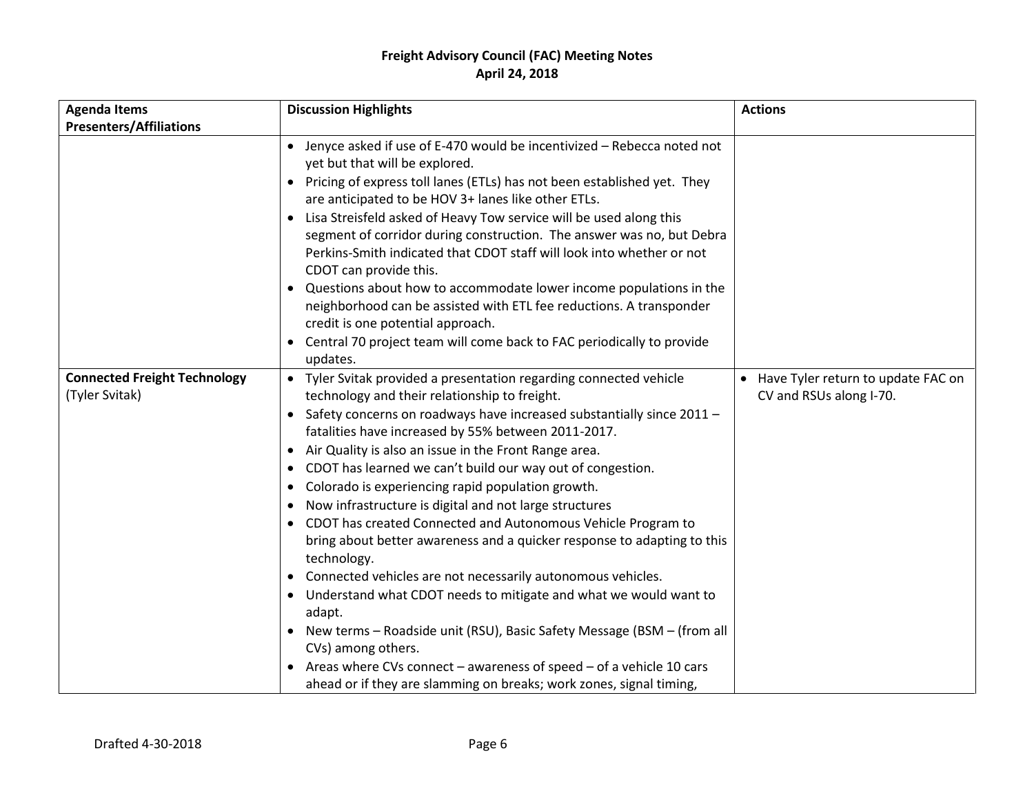| <b>Agenda Items</b>                                   | <b>Discussion Highlights</b>                                                                                                                                                                                                                                                                                                                                                                                                                                                                                                                                                                                                                                                                                                                                                                                                                                                                                                                                                                                                                                                                               | <b>Actions</b>                                                  |
|-------------------------------------------------------|------------------------------------------------------------------------------------------------------------------------------------------------------------------------------------------------------------------------------------------------------------------------------------------------------------------------------------------------------------------------------------------------------------------------------------------------------------------------------------------------------------------------------------------------------------------------------------------------------------------------------------------------------------------------------------------------------------------------------------------------------------------------------------------------------------------------------------------------------------------------------------------------------------------------------------------------------------------------------------------------------------------------------------------------------------------------------------------------------------|-----------------------------------------------------------------|
| <b>Presenters/Affiliations</b>                        |                                                                                                                                                                                                                                                                                                                                                                                                                                                                                                                                                                                                                                                                                                                                                                                                                                                                                                                                                                                                                                                                                                            |                                                                 |
|                                                       | • Jenyce asked if use of E-470 would be incentivized - Rebecca noted not<br>yet but that will be explored.<br>• Pricing of express toll lanes (ETLs) has not been established yet. They<br>are anticipated to be HOV 3+ lanes like other ETLs.<br>Lisa Streisfeld asked of Heavy Tow service will be used along this<br>$\bullet$<br>segment of corridor during construction. The answer was no, but Debra<br>Perkins-Smith indicated that CDOT staff will look into whether or not<br>CDOT can provide this.<br>• Questions about how to accommodate lower income populations in the<br>neighborhood can be assisted with ETL fee reductions. A transponder<br>credit is one potential approach.<br>Central 70 project team will come back to FAC periodically to provide<br>$\bullet$<br>updates.                                                                                                                                                                                                                                                                                                        |                                                                 |
| <b>Connected Freight Technology</b><br>(Tyler Svitak) | • Tyler Svitak provided a presentation regarding connected vehicle<br>technology and their relationship to freight.<br>• Safety concerns on roadways have increased substantially since 2011 -<br>fatalities have increased by 55% between 2011-2017.<br>Air Quality is also an issue in the Front Range area.<br>$\bullet$<br>CDOT has learned we can't build our way out of congestion.<br>$\bullet$<br>Colorado is experiencing rapid population growth.<br>$\bullet$<br>Now infrastructure is digital and not large structures<br>CDOT has created Connected and Autonomous Vehicle Program to<br>bring about better awareness and a quicker response to adapting to this<br>technology.<br>Connected vehicles are not necessarily autonomous vehicles.<br>$\bullet$<br>• Understand what CDOT needs to mitigate and what we would want to<br>adapt.<br>• New terms - Roadside unit (RSU), Basic Safety Message (BSM - (from all<br>CVs) among others.<br>• Areas where CVs connect - awareness of speed - of a vehicle 10 cars<br>ahead or if they are slamming on breaks; work zones, signal timing, | • Have Tyler return to update FAC on<br>CV and RSUs along I-70. |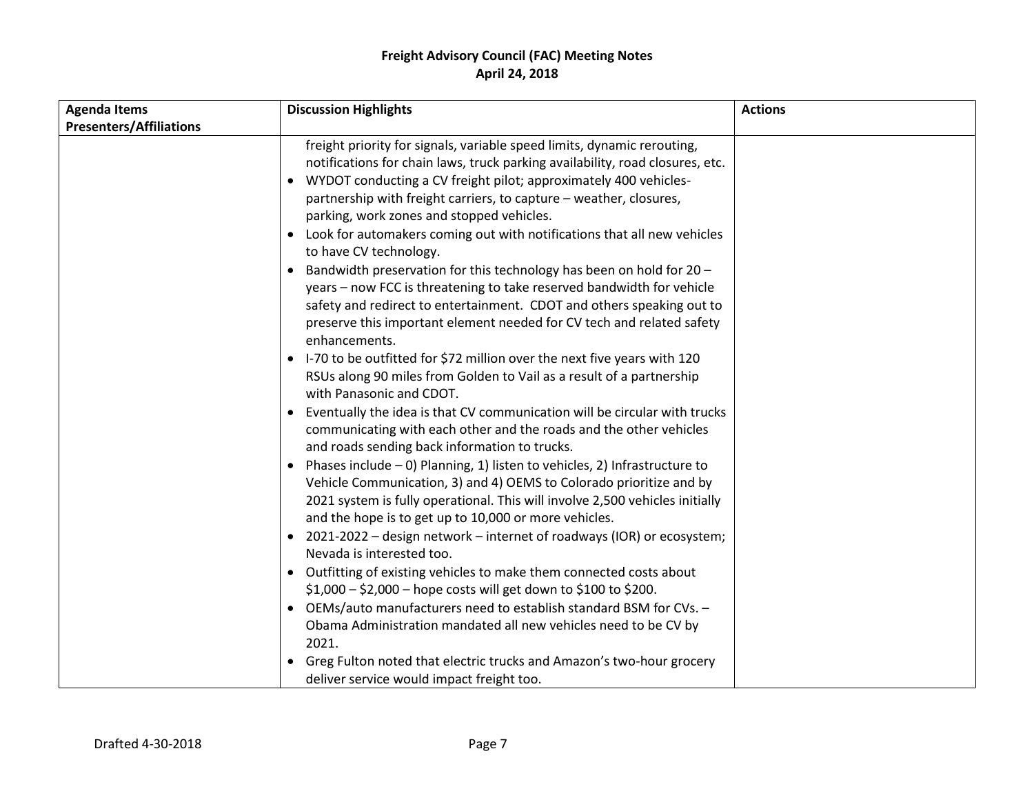| <b>Presenters/Affiliations</b><br>$\bullet$<br>$\bullet$<br>$\bullet$<br>$\bullet$ | freight priority for signals, variable speed limits, dynamic rerouting,<br>notifications for chain laws, truck parking availability, road closures, etc.<br>WYDOT conducting a CV freight pilot; approximately 400 vehicles-<br>partnership with freight carriers, to capture – weather, closures,<br>parking, work zones and stopped vehicles.<br>Look for automakers coming out with notifications that all new vehicles<br>to have CV technology.<br>Bandwidth preservation for this technology has been on hold for 20 -                                                                                                                                                                                                                                                                                                                                                                                                                                                                                                                                                                                                                                                                                                                                                                                                                                                                           |  |
|------------------------------------------------------------------------------------|--------------------------------------------------------------------------------------------------------------------------------------------------------------------------------------------------------------------------------------------------------------------------------------------------------------------------------------------------------------------------------------------------------------------------------------------------------------------------------------------------------------------------------------------------------------------------------------------------------------------------------------------------------------------------------------------------------------------------------------------------------------------------------------------------------------------------------------------------------------------------------------------------------------------------------------------------------------------------------------------------------------------------------------------------------------------------------------------------------------------------------------------------------------------------------------------------------------------------------------------------------------------------------------------------------------------------------------------------------------------------------------------------------|--|
|                                                                                    |                                                                                                                                                                                                                                                                                                                                                                                                                                                                                                                                                                                                                                                                                                                                                                                                                                                                                                                                                                                                                                                                                                                                                                                                                                                                                                                                                                                                        |  |
| $\bullet$                                                                          | years - now FCC is threatening to take reserved bandwidth for vehicle<br>safety and redirect to entertainment. CDOT and others speaking out to<br>preserve this important element needed for CV tech and related safety<br>enhancements.<br>I-70 to be outfitted for \$72 million over the next five years with 120<br>RSUs along 90 miles from Golden to Vail as a result of a partnership<br>with Panasonic and CDOT.<br>Eventually the idea is that CV communication will be circular with trucks<br>communicating with each other and the roads and the other vehicles<br>and roads sending back information to trucks.<br>Phases include $-0$ ) Planning, 1) listen to vehicles, 2) Infrastructure to<br>Vehicle Communication, 3) and 4) OEMS to Colorado prioritize and by<br>2021 system is fully operational. This will involve 2,500 vehicles initially<br>and the hope is to get up to 10,000 or more vehicles.<br>• 2021-2022 – design network – internet of roadways (IOR) or ecosystem;<br>Nevada is interested too.<br>• Outfitting of existing vehicles to make them connected costs about<br>\$1,000 - \$2,000 - hope costs will get down to \$100 to \$200.<br>OEMs/auto manufacturers need to establish standard BSM for CVs. -<br>Obama Administration mandated all new vehicles need to be CV by<br>2021.<br>Greg Fulton noted that electric trucks and Amazon's two-hour grocery |  |
| deliver service would impact freight too.                                          |                                                                                                                                                                                                                                                                                                                                                                                                                                                                                                                                                                                                                                                                                                                                                                                                                                                                                                                                                                                                                                                                                                                                                                                                                                                                                                                                                                                                        |  |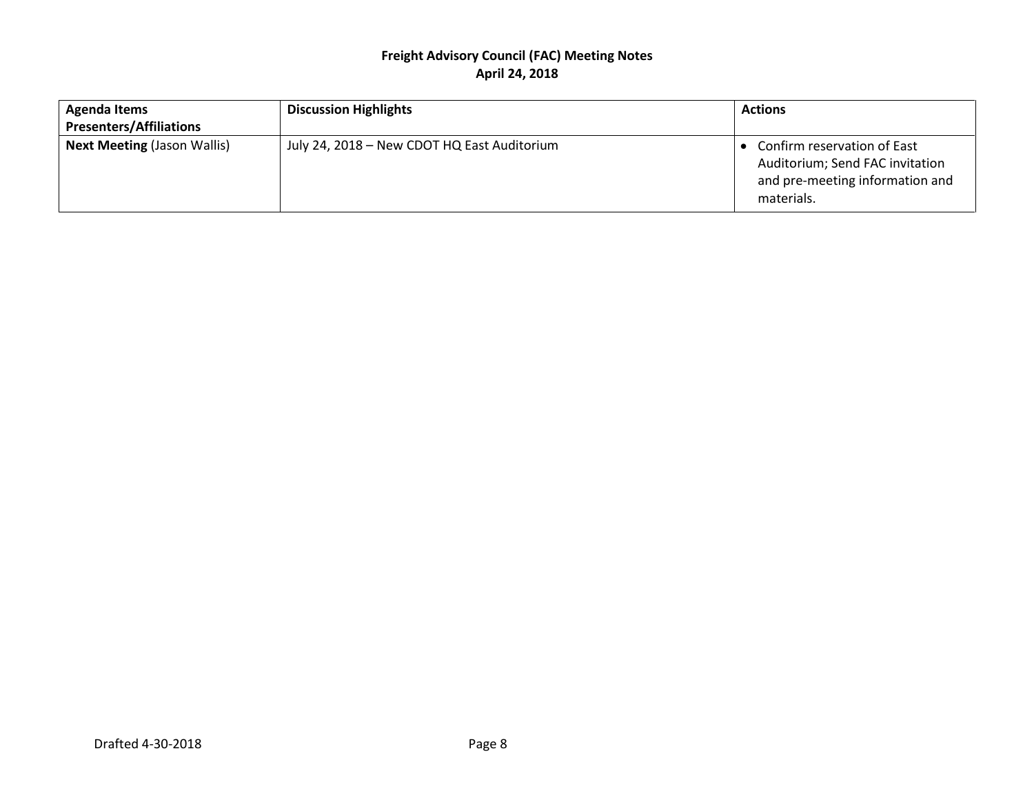| <b>Agenda Items</b>                | <b>Discussion Highlights</b>                | <b>Actions</b>                                                                                                    |
|------------------------------------|---------------------------------------------|-------------------------------------------------------------------------------------------------------------------|
| <b>Presenters/Affiliations</b>     |                                             |                                                                                                                   |
| <b>Next Meeting (Jason Wallis)</b> | July 24, 2018 – New CDOT HQ East Auditorium | • Confirm reservation of East<br>Auditorium; Send FAC invitation<br>and pre-meeting information and<br>materials. |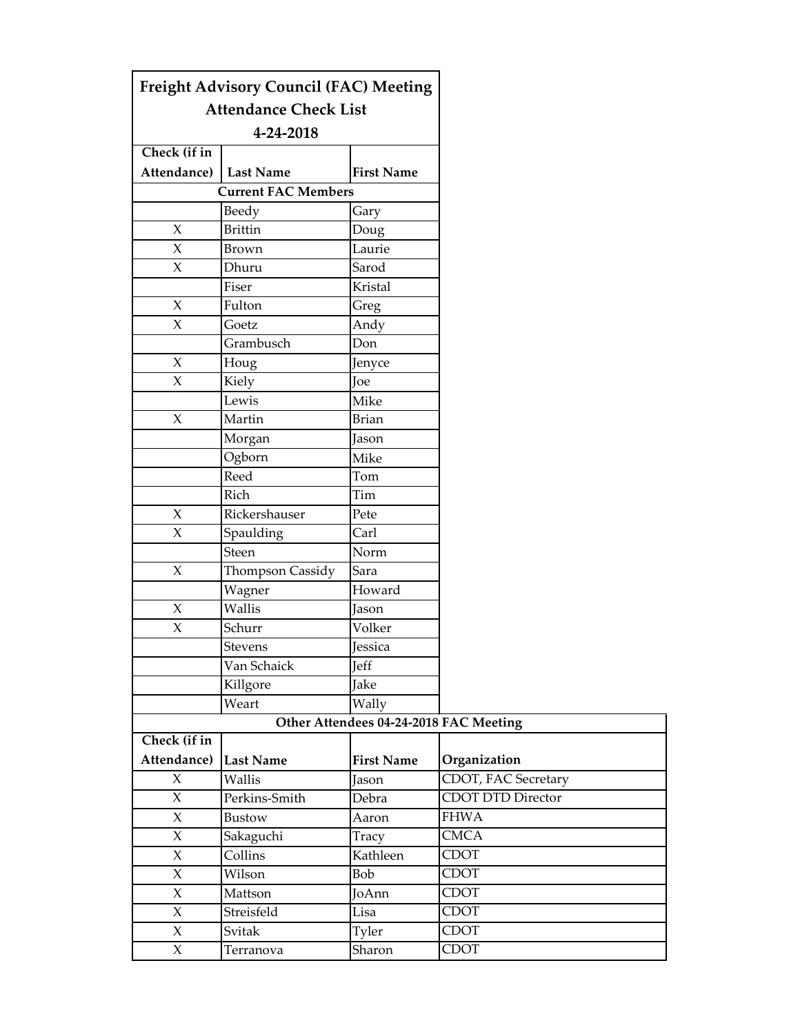|                         | <b>Freight Advisory Council (FAC) Meeting</b> |                   |                                        |
|-------------------------|-----------------------------------------------|-------------------|----------------------------------------|
|                         | <b>Attendance Check List</b>                  |                   |                                        |
|                         | 4-24-2018                                     |                   |                                        |
| Check (if in            |                                               |                   |                                        |
| Attendance)   Last Name |                                               | <b>First Name</b> |                                        |
|                         | <b>Current FAC Members</b>                    |                   |                                        |
|                         | Beedy                                         | Gary              |                                        |
| $\chi$                  | <b>Brittin</b>                                | Doug              |                                        |
| X                       | Brown                                         | Laurie            |                                        |
| $\chi$                  | Dhuru                                         | Sarod             |                                        |
|                         | Fiser                                         | Kristal           |                                        |
| $\chi$                  | Fulton                                        | Greg              |                                        |
| $\chi$                  | Goetz                                         | Andy              |                                        |
|                         | Grambusch                                     | Don               |                                        |
| $\chi$                  | Houg                                          | Jenyce            |                                        |
| X                       | Kiely                                         | Joe               |                                        |
|                         | Lewis                                         | Mike              |                                        |
| $\chi$                  | Martin                                        | <b>Brian</b>      |                                        |
|                         | Morgan                                        | Jason             |                                        |
|                         | Ogborn                                        | Mike              |                                        |
|                         | Reed                                          | Tom               |                                        |
|                         | Rich                                          | Tim               |                                        |
| $\chi$                  | Rickershauser                                 | Pete              |                                        |
| $\chi$                  | Spaulding                                     | Carl              |                                        |
|                         | Steen                                         | Norm              |                                        |
| $\chi$                  | Thompson Cassidy                              | Sara              |                                        |
|                         | Wagner                                        | Howard            |                                        |
| X                       | Wallis                                        | Jason             |                                        |
| $\chi$                  | Schurr                                        | Volker            |                                        |
|                         | Stevens                                       | Jessica           |                                        |
|                         | Van Schaick                                   | Jeff              |                                        |
|                         | Killgore                                      | Jake              |                                        |
|                         | Weart                                         | Wally             |                                        |
|                         |                                               |                   | Other Attendees 04-24-2018 FAC Meeting |
| Check (if in            |                                               |                   |                                        |
| Attendance)             | <b>Last Name</b>                              | <b>First Name</b> | Organization                           |
| $\chi$                  | Wallis                                        | Jason             | CDOT, FAC Secretary                    |
| $\chi$                  | Perkins-Smith                                 | Debra             | <b>CDOT DTD Director</b>               |
| $\chi$                  | Bustow                                        | Aaron             | <b>FHWA</b>                            |
| $\chi$                  | Sakaguchi                                     | Tracy             | $\overline{\text{CMCA}}$               |
| $\chi$                  | Collins                                       | Kathleen          | <b>CDOT</b>                            |
| $\chi$                  | Wilson                                        | Bob               | <b>CDOT</b>                            |
| $\chi$                  | Mattson                                       | JoAnn             | <b>CDOT</b>                            |
| $\chi$                  | Streisfeld                                    | Lisa              | <b>CDOT</b>                            |
| $\chi$                  | Svitak                                        | Tyler             | <b>CDOT</b>                            |
| $\chi$                  | Terranova                                     | Sharon            | <b>CDOT</b>                            |